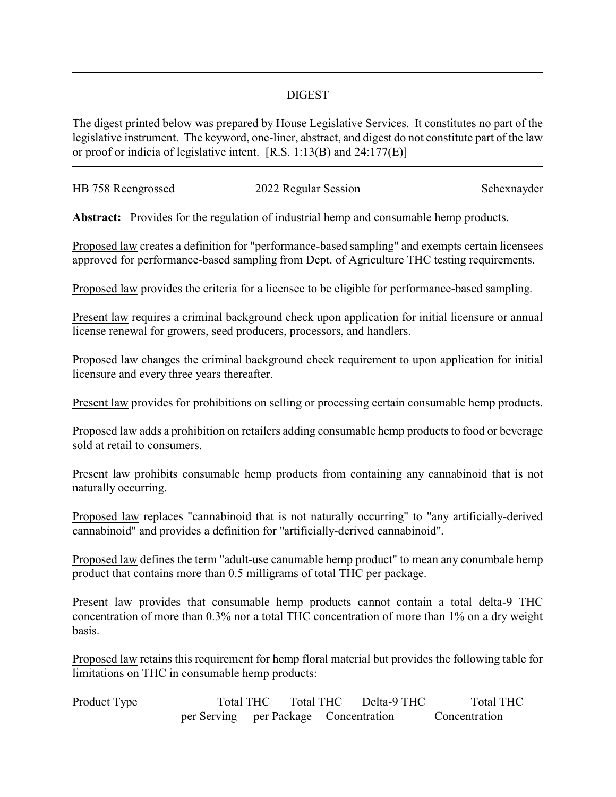## DIGEST

The digest printed below was prepared by House Legislative Services. It constitutes no part of the legislative instrument. The keyword, one-liner, abstract, and digest do not constitute part of the law or proof or indicia of legislative intent. [R.S. 1:13(B) and 24:177(E)]

| HB 758 Reengrossed | 2022 Regular Session | Schexnayder |
|--------------------|----------------------|-------------|
|                    |                      |             |

**Abstract:** Provides for the regulation of industrial hemp and consumable hemp products.

Proposed law creates a definition for "performance-based sampling" and exempts certain licensees approved for performance-based sampling from Dept. of Agriculture THC testing requirements.

Proposed law provides the criteria for a licensee to be eligible for performance-based sampling.

Present law requires a criminal background check upon application for initial licensure or annual license renewal for growers, seed producers, processors, and handlers.

Proposed law changes the criminal background check requirement to upon application for initial licensure and every three years thereafter.

Present law provides for prohibitions on selling or processing certain consumable hemp products.

Proposed law adds a prohibition on retailers adding consumable hemp products to food or beverage sold at retail to consumers.

Present law prohibits consumable hemp products from containing any cannabinoid that is not naturally occurring.

Proposed law replaces "cannabinoid that is not naturally occurring" to "any artificially-derived cannabinoid" and provides a definition for "artificially-derived cannabinoid".

Proposed law defines the term "adult-use canumable hemp product" to mean any conumbale hemp product that contains more than 0.5 milligrams of total THC per package.

Present law provides that consumable hemp products cannot contain a total delta-9 THC concentration of more than 0.3% nor a total THC concentration of more than 1% on a dry weight basis.

Proposed law retains this requirement for hemp floral material but provides the following table for limitations on THC in consumable hemp products:

| Product Type |                                       | Total THC |  | Total THC | Delta-9 THC | Total THC     |  |
|--------------|---------------------------------------|-----------|--|-----------|-------------|---------------|--|
|              | per Serving per Package Concentration |           |  |           |             | Concentration |  |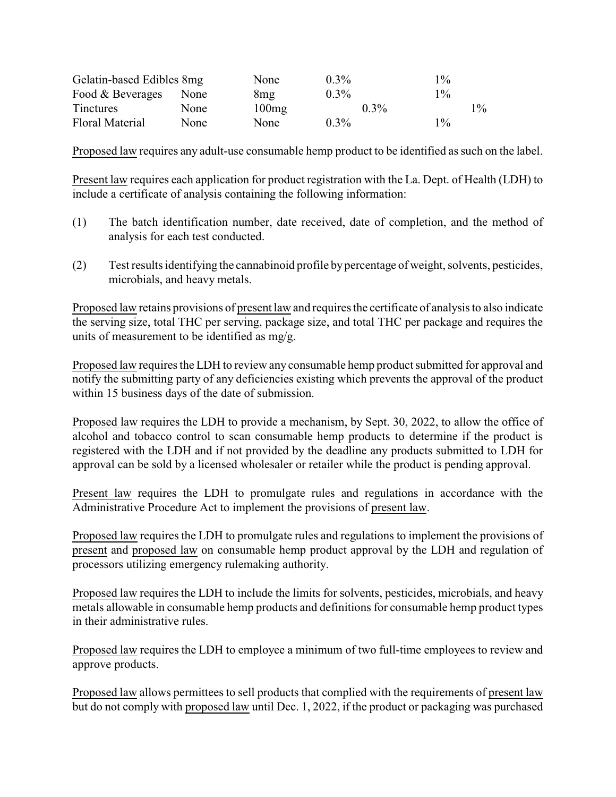| Gelatin-based Edibles 8mg |             | None  | $0.3\%$ | $1\%$ |       |
|---------------------------|-------------|-------|---------|-------|-------|
| Food & Beverages          | <b>None</b> | 8mg   | $0.3\%$ | $1\%$ |       |
| <b>Tinctures</b>          | <b>None</b> | 100mg | $0.3\%$ |       | $1\%$ |
| <b>Floral Material</b>    | None        | None  | $0.3\%$ | $1\%$ |       |

Proposed law requires any adult-use consumable hemp product to be identified as such on the label.

Present law requires each application for product registration with the La. Dept. of Health (LDH) to include a certificate of analysis containing the following information:

- (1) The batch identification number, date received, date of completion, and the method of analysis for each test conducted.
- (2) Test results identifying the cannabinoid profile bypercentage of weight, solvents, pesticides, microbials, and heavy metals.

Proposed law retains provisions of present law and requires the certificate of analysis to also indicate the serving size, total THC per serving, package size, and total THC per package and requires the units of measurement to be identified as mg/g.

Proposed law requires the LDH to review any consumable hemp product submitted for approval and notify the submitting party of any deficiencies existing which prevents the approval of the product within 15 business days of the date of submission.

Proposed law requires the LDH to provide a mechanism, by Sept. 30, 2022, to allow the office of alcohol and tobacco control to scan consumable hemp products to determine if the product is registered with the LDH and if not provided by the deadline any products submitted to LDH for approval can be sold by a licensed wholesaler or retailer while the product is pending approval.

Present law requires the LDH to promulgate rules and regulations in accordance with the Administrative Procedure Act to implement the provisions of present law.

Proposed law requires the LDH to promulgate rules and regulations to implement the provisions of present and proposed law on consumable hemp product approval by the LDH and regulation of processors utilizing emergency rulemaking authority.

Proposed law requires the LDH to include the limits for solvents, pesticides, microbials, and heavy metals allowable in consumable hemp products and definitions for consumable hemp product types in their administrative rules.

Proposed law requires the LDH to employee a minimum of two full-time employees to review and approve products.

Proposed law allows permittees to sell products that complied with the requirements of present law but do not comply with proposed law until Dec. 1, 2022, if the product or packaging was purchased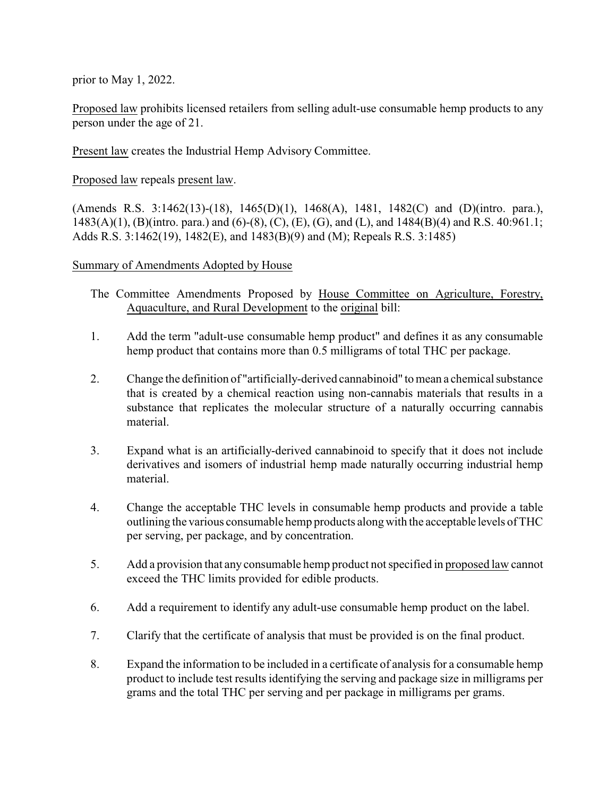prior to May 1, 2022.

Proposed law prohibits licensed retailers from selling adult-use consumable hemp products to any person under the age of 21.

Present law creates the Industrial Hemp Advisory Committee.

Proposed law repeals present law.

(Amends R.S. 3:1462(13)-(18), 1465(D)(1), 1468(A), 1481, 1482(C) and (D)(intro. para.), 1483(A)(1), (B)(intro. para.) and (6)-(8), (C), (E), (G), and (L), and 1484(B)(4) and R.S. 40:961.1; Adds R.S. 3:1462(19), 1482(E), and 1483(B)(9) and (M); Repeals R.S. 3:1485)

## Summary of Amendments Adopted by House

- The Committee Amendments Proposed by House Committee on Agriculture, Forestry, Aquaculture, and Rural Development to the original bill:
- 1. Add the term "adult-use consumable hemp product" and defines it as any consumable hemp product that contains more than 0.5 milligrams of total THC per package.
- 2. Change the definition of "artificially-derived cannabinoid" to mean a chemical substance that is created by a chemical reaction using non-cannabis materials that results in a substance that replicates the molecular structure of a naturally occurring cannabis material.
- 3. Expand what is an artificially-derived cannabinoid to specify that it does not include derivatives and isomers of industrial hemp made naturally occurring industrial hemp material.
- 4. Change the acceptable THC levels in consumable hemp products and provide a table outlining the various consumable hemp products alongwith the acceptable levels of THC per serving, per package, and by concentration.
- 5. Add a provision that any consumable hemp product not specified in proposed law cannot exceed the THC limits provided for edible products.
- 6. Add a requirement to identify any adult-use consumable hemp product on the label.
- 7. Clarify that the certificate of analysis that must be provided is on the final product.
- 8. Expand the information to be included in a certificate of analysis for a consumable hemp product to include test results identifying the serving and package size in milligrams per grams and the total THC per serving and per package in milligrams per grams.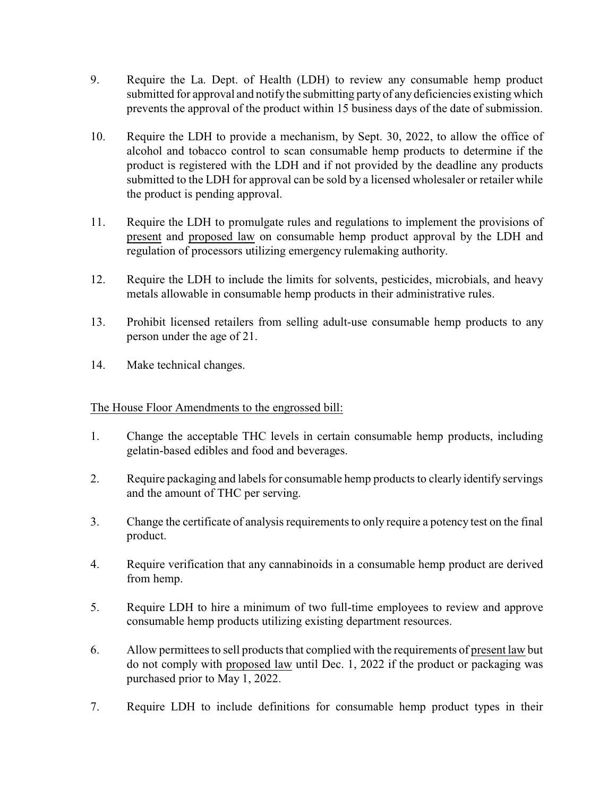- 9. Require the La. Dept. of Health (LDH) to review any consumable hemp product submitted for approval and notify the submitting partyof any deficiencies existing which prevents the approval of the product within 15 business days of the date of submission.
- 10. Require the LDH to provide a mechanism, by Sept. 30, 2022, to allow the office of alcohol and tobacco control to scan consumable hemp products to determine if the product is registered with the LDH and if not provided by the deadline any products submitted to the LDH for approval can be sold by a licensed wholesaler or retailer while the product is pending approval.
- 11. Require the LDH to promulgate rules and regulations to implement the provisions of present and proposed law on consumable hemp product approval by the LDH and regulation of processors utilizing emergency rulemaking authority.
- 12. Require the LDH to include the limits for solvents, pesticides, microbials, and heavy metals allowable in consumable hemp products in their administrative rules.
- 13. Prohibit licensed retailers from selling adult-use consumable hemp products to any person under the age of 21.
- 14. Make technical changes.

## The House Floor Amendments to the engrossed bill:

- 1. Change the acceptable THC levels in certain consumable hemp products, including gelatin-based edibles and food and beverages.
- 2. Require packaging and labels for consumable hemp products to clearly identify servings and the amount of THC per serving.
- 3. Change the certificate of analysis requirements to only require a potency test on the final product.
- 4. Require verification that any cannabinoids in a consumable hemp product are derived from hemp.
- 5. Require LDH to hire a minimum of two full-time employees to review and approve consumable hemp products utilizing existing department resources.
- 6. Allow permittees to sell products that complied with the requirements of present law but do not comply with proposed law until Dec. 1, 2022 if the product or packaging was purchased prior to May 1, 2022.
- 7. Require LDH to include definitions for consumable hemp product types in their